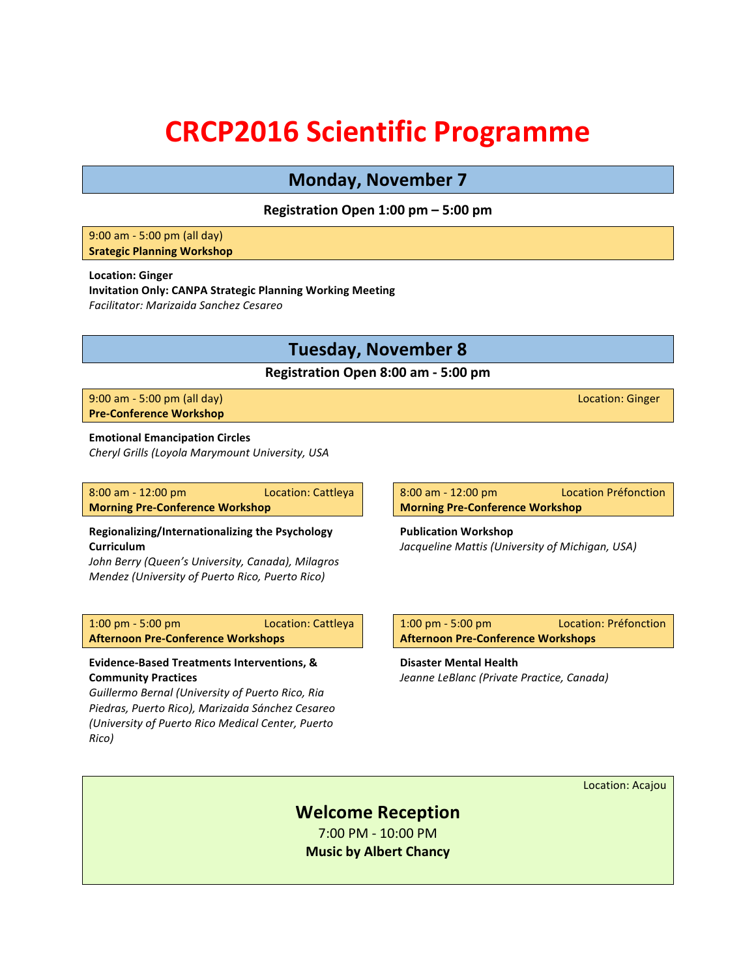# **CRCP2016 Scientific Programme**

# **Monday, November 7**

# **Registration Open 1:00 pm – 5:00 pm**

#### 9:00 am - 5:00 pm (all day) **Srategic Planning Workshop**

#### **Location: Ginger**

**Invitation Only: CANPA Strategic Planning Working Meeting** *Facilitator: Marizaida Sanchez Cesareo*

# **Tuesday, November 8**

### **Registration Open 8:00 am - 5:00 pm**

9:00 am - 5:00 pm (all day) and the control of the control of the control of the control of the control of the control of the control of the control of the control of the control of the control of the control of the contro **Pre-Conference Workshop** 

#### **Emotional Emancipation Circles**

*Cheryl Grills (Loyola Marymount University, USA*

| $8:00$ am $-12:00$ pm                  | Location: Cattleya |
|----------------------------------------|--------------------|
| <b>Morning Pre-Conference Workshop</b> |                    |

#### **Regionalizing/Internationalizing the Psychology Curriculum**

*John Berry (Queen's University, Canada), Milagros Mendez (University of Puerto Rico, Puerto Rico)*

1:00 pm - 5:00 pm Location: Cattleya **Afternoon Pre-Conference Workshops** 

#### **Evidence-Based Treatments Interventions, & Community Practices**

*Guillermo Bernal (University of Puerto Rico, Ria Piedras, Puerto Rico), Marizaida Sánchez Cesareo (University of Puerto Rico Medical Center, Puerto*   $Rico$ )

8:00 am - 12:00 pm Location Préfonction **Morning Pre-Conference Workshop** 

**Publication Workshop** *Jacqueline Mattis (University of Michigan, USA)* 

1:00 pm - 5:00 pm Location: Préfonction **Afternoon Pre-Conference Workshops** 

**Disaster Mental Health** *Jeanne LeBlanc (Private Practice, Canada)*

Location: Acajou

# **Welcome Reception**

7:00 PM - 10:00 PM **Music by Albert Chancy**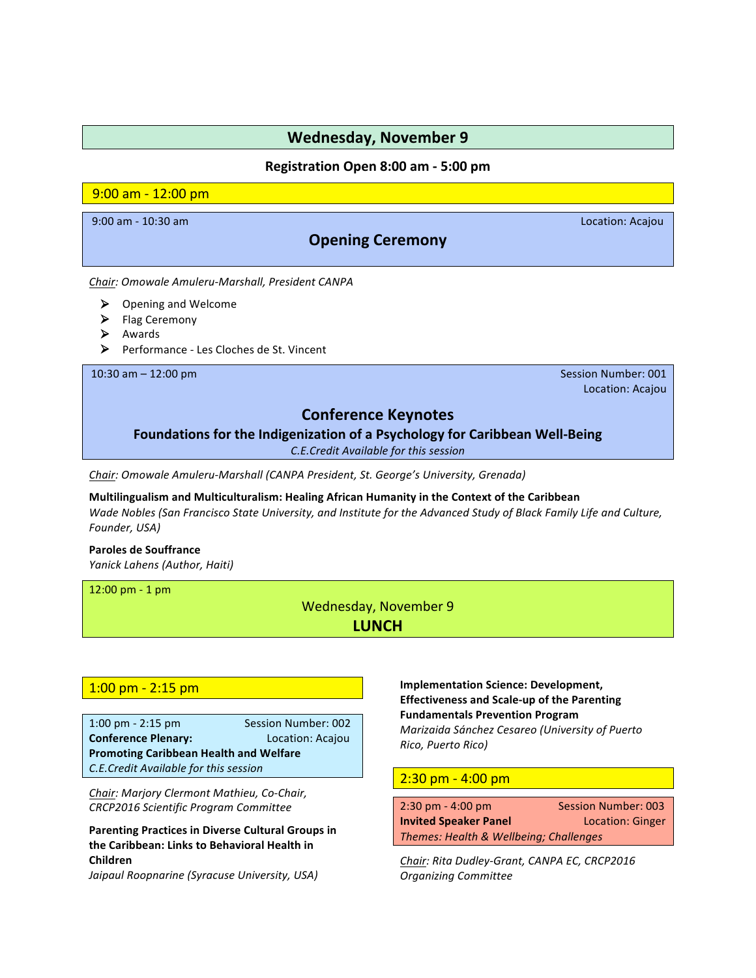# **Registration Open 8:00 am - 5:00 pm**

# 9:00 am - 12:00 pm

9:00 am - 10:30 am Location: Acajou

# **Opening Ceremony**

*Chair: Omowale Amuleru-Marshall, President CANPA*

- $\triangleright$  Opening and Welcome
- $\blacktriangleright$  Flag Ceremony
- $\triangleright$  Awards
- Performance Les Cloches de St. Vincent

10:30 am – 12:00 pm and the state of the state of the state of the state of the state of the state of the state of the state of the state of the state of the state of the state of the state of the state of the state of the

Location: Acajou

# **Conference Keynotes**

# Foundations for the Indigenization of a Psychology for Caribbean Well-Being

*C.E.Credit Available for this session*

**Chair:** Omowale Amuleru-Marshall (CANPA President, St. George's University, Grenada)

**Multilingualism and Multiculturalism: Healing African Humanity in the Context of the Caribbean** *Wade* Nobles (San Francisco State University, and Institute for the Advanced Study of Black Family Life and Culture, *Founder, USA)* 

#### **Paroles de Souffrance**

*Yanick Lahens (Author, Haiti)*

 $12:00$  pm - 1 pm

Wednesday, November 9 **LUNCH**

### $1:00$  pm -  $2:15$  pm

1:00 pm - 2:15 pm Session Number: 002 **Conference Plenary:** Location: Acajou **Promoting Caribbean Health and Welfare** *C.E.Credit Available for this session*

**Chair: Marjory Clermont Mathieu, Co-Chair,** *CRCP2016 Scientific Program Committee*

**Parenting Practices in Diverse Cultural Groups in** the Caribbean: Links to Behavioral Health in **Children**

*Jaipaul Roopnarine (Syracuse University, USA)* 

**Implementation Science: Development, Effectiveness and Scale-up of the Parenting Fundamentals Prevention Program** *Marizaida Sánchez Cesareo (University of Puerto Rico, Puerto Rico)*

### $2:30$  pm  $- 4:00$  pm

| $2:30 \text{ pm} - 4:00 \text{ pm}$    | <b>Session Number: 003</b> |
|----------------------------------------|----------------------------|
| <b>Invited Speaker Panel</b>           | <b>Location: Ginger</b>    |
| Themes: Health & Wellbeing; Challenges |                            |

Chair: Rita Dudley-Grant, CANPA EC, CRCP2016 *Organizing Committee*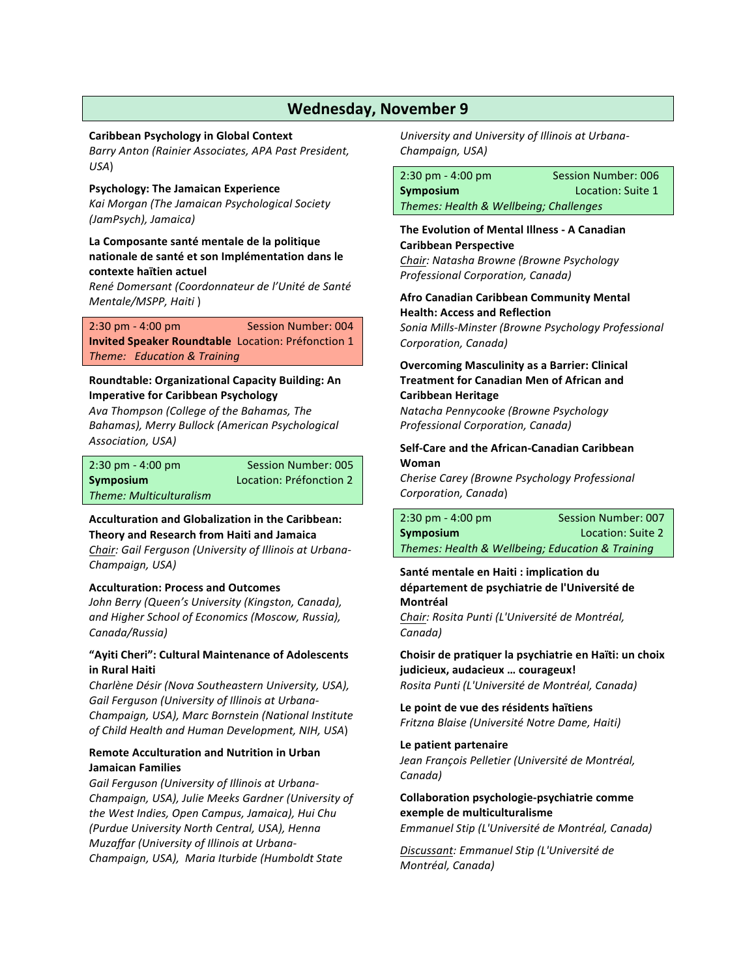#### **Caribbean Psychology in Global Context**

*Barry Anton (Rainier Associates, APA Past President, USA*)

**Psychology: The Jamaican Experience** *Kai Morgan (The Jamaican Psychological Society (JamPsych), Jamaica)* 

# La Composante santé mentale de la politique nationale de santé et son Implémentation dans le **contexte haïtien actuel**

*René Domersant (Coordonnateur de l'Unité de Santé Mentale/MSPP, Haiti* )

### 2:30 pm - 4:00 pm Session Number: 004 **Invited Speaker Roundtable** Location: Préfonction 1 *Theme: Education & Training*

#### **Roundtable: Organizational Capacity Building: An Imperative for Caribbean Psychology**

*Ava Thompson (College of the Bahamas, The Bahamas), Merry Bullock (American Psychological*  Association, USA)

#### 2:30 pm - 4:00 pm Session Number: 005 **Symposium Location:** Préfonction 2 *Theme: Multiculturalism*

#### **Acculturation and Globalization in the Caribbean: Theory and Research from Haiti and Jamaica**

**Chair:** Gail Ferguson (University of Illinois at Urbana-*Champaign, USA)*

### **Acculturation: Process and Outcomes**

*John Berry* (Queen's University (Kingston, Canada), *and Higher School of Economics (Moscow, Russia),* Canada/Russia)

#### "Ayiti Cheri": Cultural Maintenance of Adolescents **in Rural Haiti**

*Charlène Désir (Nova Southeastern University, USA),* Gail Ferguson (University of Illinois at Urbana-*Champaign, USA), Marc Bornstein (National Institute of Child Health and Human Development, NIH, USA*)

### **Remote Acculturation and Nutrition in Urban Jamaican Families**

Gail Ferguson (University of Illinois at Urbana-*Champaign, USA), Julie Meeks Gardner (University of the West Indies, Open Campus, Jamaica), Hui Chu (Purdue University North Central, USA), Henna Muzaffar (University of Illinois at Urbana-Champaign, USA), Maria Iturbide (Humboldt State* 

University and University of Illinois at Urbana-*Champaign, USA)* 

2:30 pm - 4:00 pm Session Number: 006 **Symposium Constanting Constanting Location:** Suite 1 *Themes: Health & Wellbeing; Challenges*

**The Evolution of Mental Illness - A Canadian Caribbean Perspective** *Chair: Natasha Browne (Browne Psychology* 

*Professional Corporation, Canada)*

**Afro Canadian Caribbean Community Mental Health: Access and Reflection** 

*Sonia Mills-Minster (Browne Psychology Professional*  Corporation, Canada)

### **Overcoming Masculinity as a Barrier: Clinical Treatment for Canadian Men of African and Caribbean Heritage**

*Natacha Pennycooke (Browne Psychology*  **Professional Corporation, Canada)** 

#### **Self-Care and the African-Canadian Caribbean Woman**

*Cherise Carey (Browne Psychology Professional Corporation, Canada*)

| $2:30 \text{ pm} - 4:00 \text{ pm}$              | Session Number: 007 |
|--------------------------------------------------|---------------------|
| Symposium                                        | Location: Suite 2   |
| Themes: Health & Wellbeing; Education & Training |                     |

### Santé mentale en Haiti : implication du département de psychiatrie de l'Université de **Montréal**

*Chair: Rosita Punti (L'Université de Montréal, Canada)* 

# **Choisir de pratiquer la psychiatrie en Haïti: un choix judicieux, audacieux … courageux!**

*Rosita Punti* (L'Université de Montréal, Canada)

Le point de vue des résidents haïtiens *Fritzna Blaise* (Université Notre Dame, Haiti)

#### **Le patient partenaire**

*Jean François Pelletier (Université de Montréal,* Canada)

#### **Collaboration psychologie-psychiatrie comme exemple de multiculturalisme** *Emmanuel Stip* (L'Université de Montréal, Canada)

*Discussant: Emmanuel Stip (L'Université de Montréal, Canada)*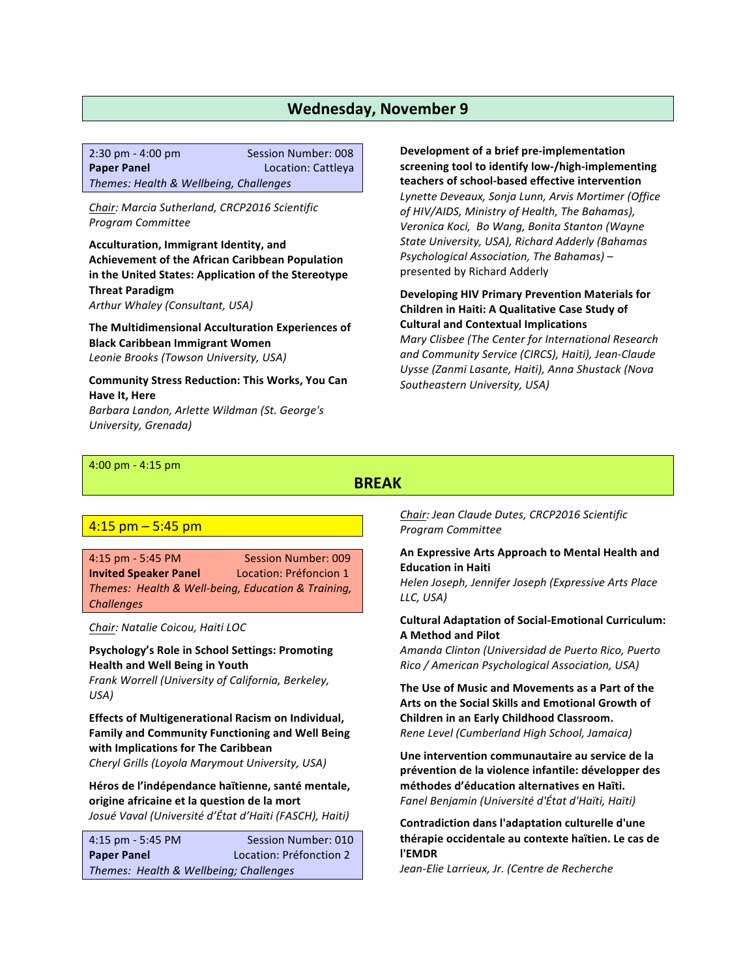| $2:30 \text{ pm} - 4:00 \text{ pm}$    | Session Number: 008 |
|----------------------------------------|---------------------|
| <b>Paper Panel</b>                     | Location: Cattleya  |
| Themes: Health & Wellbeing, Challenges |                     |

*Chair: Marcia Sutherland, CRCP2016 Scientific Program Committee*

**Acculturation, Immigrant Identity, and Achievement of the African Caribbean Population** in the United States: Application of the Stereotype **Threat Paradigm** Arthur *Whaley* (Consultant, USA)

**The Multidimensional Acculturation Experiences of Black Caribbean Immigrant Women** *Leonie Brooks (Towson University, USA)* 

**Community Stress Reduction: This Works, You Can Have It, Here** *Barbara Landon, Arlette Wildman (St. George's University, Grenada)* 

**Development of a brief pre-implementation** screening tool to identify low-/high-implementing **teachers of school-based effective intervention** *Lynette Deveaux, Sonja Lunn, Arvis Mortimer (Office of HIV/AIDS, Ministry of Health, The Bahamas), Veronica Koci, Bo Wang, Bonita Stanton (Wayne State University, USA), Richard Adderly (Bahamas Psychological Association, The Bahamas)* – presented by Richard Adderly

#### **Developing HIV Primary Prevention Materials for Children in Haiti: A Qualitative Case Study of Cultural and Contextual Implications**

*Mary Clisbee (The Center for International Research and Community Service (CIRCS), Haiti), Jean-Claude Uysse (Zanmi Lasante, Haiti), Anna Shustack (Nova Southeastern University, USA)*

#### 4:00 pm - 4:15 pm

# **BREAK**

# $4:15$  pm  $-5:45$  pm

4:15 pm - 5:45 PM Session Number: 009 **Invited Speaker Panel Location: Préfoncion 1** *Themes: Health & Well-being, Education & Training, Challenges*

*Chair: Natalie Coicou, Haiti LOC*

**Psychology's Role in School Settings: Promoting Health and Well Being in Youth** *Frank Worrell (University of California, Berkeley,* USA)

**Effects of Multigenerational Racism on Individual, Family and Community Functioning and Well Being with Implications for The Caribbean** *Cheryl Grills (Loyola Marymout University, USA)* 

Héros de l'indépendance haïtienne, santé mentale, origine africaine et la question de la mort *Josué Vaval (Université d'État d'Haïti (FASCH), Haiti)*

4:15 pm - 5:45 PM Session Number: 010 **Paper Panel Location: Préfonction 2** *Themes: Health & Wellbeing; Challenges*

*Chair: Jean Claude Dutes, CRCP2016 Scientific Program Committee*

#### **An Expressive Arts Approach to Mental Health and Education in Haiti**

*Helen Joseph, Jennifer Joseph (Expressive Arts Place LLC, USA)* 

#### **Cultural Adaptation of Social-Emotional Curriculum: A Method and Pilot**

*Amanda Clinton (Universidad de Puerto Rico, Puerto Rico* / American Psychological Association, USA)

The Use of Music and Movements as a Part of the Arts on the Social Skills and Emotional Growth of **Children in an Early Childhood Classroom. Rene Level (Cumberland High School, Jamaica)** 

Une intervention communautaire au service de la **prévention de la violence infantile: développer des méthodes d'éducation alternatives en Haïti.** *Fanel Benjamin (Université d'État d'Haïti, Haïti)* 

**Contradiction dans l'adaptation culturelle d'une thérapie occidentale au contexte haïtien. Le cas de l'EMDR**

*Jean-Elie Larrieux, Jr. (Centre de Recherche*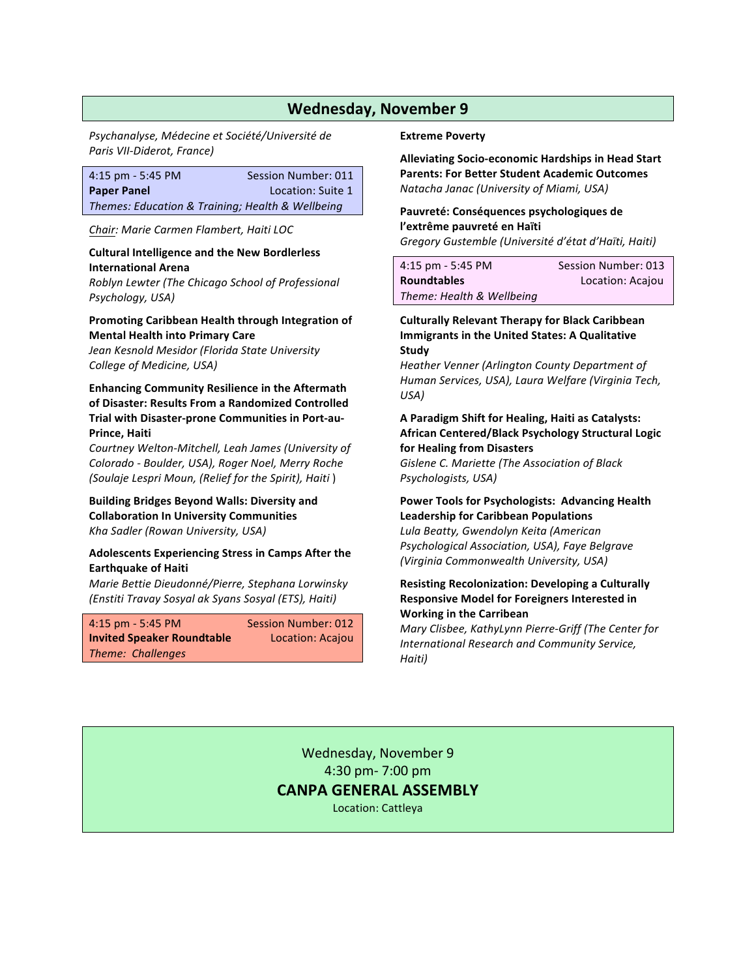*Psychanalyse, Médecine et Société/Université de Paris VII-Diderot, France)*

| $4:15$ pm - 5:45 PM | Session Number: 011                              |
|---------------------|--------------------------------------------------|
| <b>Paper Panel</b>  | Location: Suite 1                                |
|                     | Themes: Education & Training; Health & Wellbeing |

*Chair: Marie Carmen Flambert, Haiti LOC*

#### **Cultural Intelligence and the New Bordlerless International Arena**

*Roblyn Lewter (The Chicago School of Professional*  Psychology, USA)

#### **Promoting Caribbean Health through Integration of Mental Health into Primary Care**

*Jean Kesnold Mesidor (Florida State University College of Medicine, USA)* 

### **Enhancing Community Resilience in the Aftermath** of Disaster: Results From a Randomized Controlled **Trial with Disaster-prone Communities in Port-au-Prince, Haiti**

*Courtney Welton-Mitchell, Leah James (University of Colorado - Boulder, USA), Roger Noel, Merry Roche (Soulaje Lespri Moun, (Relief for the Spirit), Haiti* )

**Building Bridges Beyond Walls: Diversity and Collaboration In University Communities** *Kha Sadler (Rowan University, USA)* 

#### Adolescents Experiencing Stress in Camps After the **Earthquake of Haiti**

*Marie Bettie Dieudonné/Pierre, Stephana Lorwinsky (Enstiti Travay Sosyal ak Syans Sosyal (ETS), Haiti)* 

| $4:15$ pm - 5:45 PM               | <b>Session Number: 012</b> |
|-----------------------------------|----------------------------|
| <b>Invited Speaker Roundtable</b> | Location: Acajou           |
| Theme: Challenges                 |                            |

#### **Extreme Poverty**

**Alleviating Socio-economic Hardships in Head Start Parents: For Better Student Academic Outcomes** *Natacha Janac (University of Miami, USA)* 

#### Pauvreté: Conséquences psychologiques de **l'extrême pauvreté en Haïti** *Gregory Gustemble (Université d'état d'Haïti, Haiti)*

| $4:15$ pm - 5:45 PM       | Session Number: 013 |
|---------------------------|---------------------|
| <b>Roundtables</b>        | Location: Acajou    |
| Theme: Health & Wellbeing |                     |

### **Culturally Relevant Therapy for Black Caribbean Immigrants in the United States: A Qualitative Study**

*Heather Venner (Arlington County Department of Human Services, USA), Laura Welfare (Virginia Tech, USA)*

#### A Paradigm Shift for Healing, Haiti as Catalysts: **African Centered/Black Psychology Structural Logic for Healing from Disasters**

**Gislene C. Mariette (The Association of Black** *Psychologists, USA)*

#### Power Tools for Psychologists: Advancing Health **Leadership for Caribbean Populations**

*Lula Beatty, Gwendolyn Keita (American Psychological Association, USA), Faye Belgrave (Virginia Commonwealth University, USA)*

# **Resisting Recolonization: Developing a Culturally Responsive Model for Foreigners Interested in Working in the Carribean**

*Mary Clisbee, KathyLynn Pierre-Griff (The Center for International Research and Community Service,* Haiti)

Wednesday, November 9 4:30 pm- 7:00 pm **CANPA GENERAL ASSEMBLY** Location: Cattleya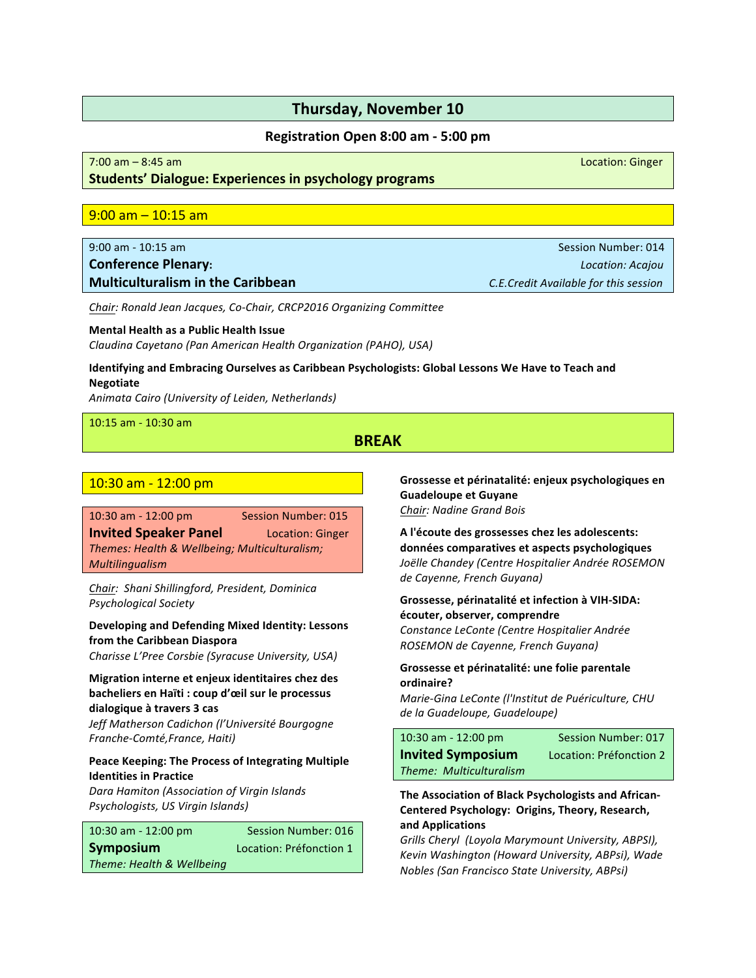#### **Registration Open 8:00 am - 5:00 pm**

# of the state of the state of the state of the state of the state of the state of the state of the state of the state of the state of the state of the state of the state of the state of the state of the state of the state o

# **Students' Dialogue: Experiences in psychology programs**

#### $9:00$  am  $-10:15$  am

# **Conference Plenary: Conference Plenary:** *Location: Acajou* **Multiculturalism in the Caribbean** *C.E.Credit Available for this session*

*Chair: Ronald Jean Jacques, Co-Chair, CRCP2016 Organizing Committee*

# **Mental Health as a Public Health Issue**

*Claudina Cayetano (Pan American Health Organization (PAHO), USA)* 

# **Identifying and Embracing Ourselves as Caribbean Psychologists: Global Lessons We Have to Teach and Negotiate**

Animata Cairo (University of Leiden, Netherlands)

10:15 am - 10:30 am

# **BREAK**

# 10:30 am - 12:00 pm

10:30 am - 12:00 pm Session Number: 015 **Invited Speaker Panel** Location: Ginger *Themes: Health & Wellbeing; Multiculturalism; Multilingualism*

*Chair: Shani Shillingford, President, Dominica Psychological Society* 

### **Developing and Defending Mixed Identity: Lessons from the Caribbean Diaspora**

**Charisse L'Pree Corsbie (Syracuse University, USA)** 

# **Migration interne et enjeux identitaires chez des** bacheliers en Haïti : coup d'œil sur le processus **dialogique à travers 3 cas**

*Jeff Matherson Cadichon (l'Université Bourgogne*  Franche-Comté, France, Haiti)

#### Peace Keeping: The Process of Integrating Multiple **Identities in Practice**

*Dara Hamiton (Association of Virgin Islands*  **Psychologists, US Virgin Islands)** 

| $10:30$ am - $12:00$ pm   | Session Number: 016     |
|---------------------------|-------------------------|
| <b>Symposium</b>          | Location: Préfonction 1 |
| Theme: Health & Wellbeing |                         |

Grossesse et périnatalité: enjeux psychologiques en **Guadeloupe et Guyane Chair: Nadine Grand Bois** 

A l'écoute des grossesses chez les adolescents: **données comparatives et aspects psychologiques** *Joëlle Chandey (Centre Hospitalier Andrée ROSEMON*  de Cayenne, French Guyana)

# Grossesse, périnatalité et infection à VIH-SIDA: **écouter, observer, comprendre** *Constance LeConte (Centre Hospitalier Andrée ROSEMON de Cayenne, French Guyana)*

#### Grossesse et périnatalité: une folie parentale **ordinaire?**

*Marie-Gina LeConte (l'Institut de Puériculture, CHU*  de la Guadeloupe, Guadeloupe)

| $10:30$ am - $12:00$ pm  | <b>Session Number: 017</b> |
|--------------------------|----------------------------|
| <b>Invited Symposium</b> | Location: Préfonction 2    |
| Theme: Multiculturalism  |                            |

### **The Association of Black Psychologists and African-**Centered Psychology: Origins, Theory, Research, **and Applications**

Grills Cheryl (Loyola Marymount University, ABPSI), *Kevin Washington (Howard University, ABPsi), Wade Nobles (San Francisco State University, ABPsi)*

9:00 am - 10:15 am Session Number: 014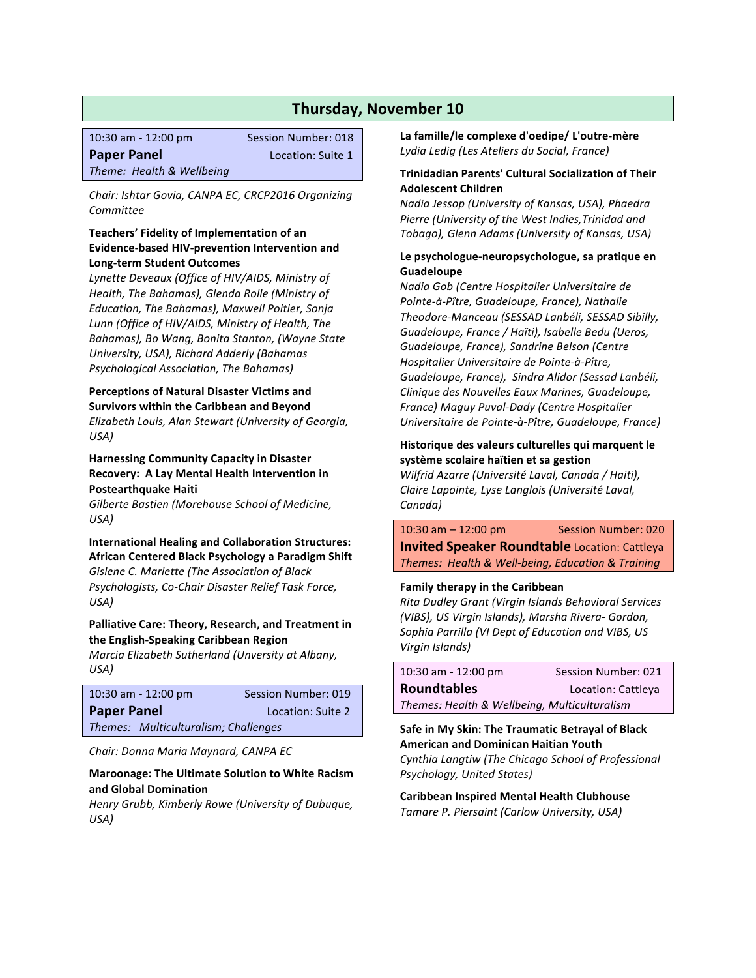| $10:30$ am - $12:00$ pm   | <b>Session Number: 018</b> |
|---------------------------|----------------------------|
| <b>Paper Panel</b>        | Location: Suite 1          |
| Theme: Health & Wellbeing |                            |

Chair: Ishtar Govia, CANPA EC, CRCP2016 Organizing *Committee*

#### **Teachers' Fidelity of Implementation of an Evidence-based HIV-prevention Intervention and Long-term Student Outcomes**

*Lynette Deveaux (Office of HIV/AIDS, Ministry of Health, The Bahamas), Glenda Rolle (Ministry of Education, The Bahamas), Maxwell Poitier, Sonja* Lunn (Office of HIV/AIDS, Ministry of Health, The *Bahamas), Bo Wang, Bonita Stanton, (Wayne State University, USA), Richard Adderly (Bahamas Psychological Association, The Bahamas)* 

#### **Perceptions of Natural Disaster Victims and Survivors within the Caribbean and Beyond**

*Elizabeth Louis, Alan Stewart (University of Georgia, USA)*

#### **Harnessing Community Capacity in Disaster Recovery: A Lay Mental Health Intervention in Postearthquake Haiti**

*Gilberte Bastien (Morehouse School of Medicine, USA)*

#### **International Healing and Collaboration Structures: African Centered Black Psychology a Paradigm Shift**

*Gislene C. Mariette (The Association of Black Psychologists, Co-Chair Disaster Relief Task Force, USA)*

# Palliative Care: Theory, Research, and Treatment in **the English-Speaking Caribbean Region**

*Marcia Elizabeth Sutherland (Unversity at Albany,* USA)

|                    | $10:30$ am - $12:00$ pm              | Session Number: 019 |
|--------------------|--------------------------------------|---------------------|
| <b>Paper Panel</b> |                                      | Location: Suite 2   |
|                    | Themes: Multiculturalism: Challenges |                     |

**Chair:** Donna Maria Maynard, CANPA EC

#### **Maroonage: The Ultimate Solution to White Racism and Global Domination**

*Henry Grubb, Kimberly Rowe (University of Dubuque, USA)*

La famille/le complexe d'oedipe/ L'outre-mère Lydia Ledig (Les Ateliers du Social, France)

#### **Trinidadian Parents' Cultural Socialization of Their Adolescent Children**

*Nadia Jessop (University of Kansas, USA), Phaedra Pierre (University of the West Indies,Trinidad and Tobago), Glenn Adams (University of Kansas, USA)* 

#### Le psychologue-neuropsychologue, sa pratique en **Guadeloupe**

*Nadia Gob (Centre Hospitalier Universitaire de Pointe-à-Pître, Guadeloupe, France), Nathalie Theodore-Manceau (SESSAD Lanbéli, SESSAD Sibilly, Guadeloupe, France / Haïti), Isabelle Bedu (Ueros, Guadeloupe, France), Sandrine Belson (Centre Hospitalier Universitaire de Pointe-à-Pître, Guadeloupe, France), Sindra Alidor (Sessad Lanbéli, Clinique des Nouvelles Eaux Marines, Guadeloupe, France) Maguy Puval-Dady (Centre Hospitalier*  Universitaire de Pointe-à-Pître, Guadeloupe, France)

#### **Historique des valeurs culturelles qui marquent le** système scolaire haïtien et sa gestion

*Wilfrid Azarre (Université Laval, Canada / Haiti), Claire Lapointe, Lyse Langlois (Université Laval,* Canada)

 $10:30$  am  $-12:00$  pm Session Number: 020 **Invited Speaker Roundtable** Location: Cattleya *Themes: Health & Well-being, Education & Training*

#### **Family therapy in the Caribbean**

*Rita Dudley Grant (Virgin Islands Behavioral Services (VIBS), US Virgin Islands), Marsha Rivera- Gordon, Sophia Parrilla (VI Dept of Education and VIBS, US Virgin Islands)* 

| 10:30 am - 12:00 pm                          | Session Number: 021 |  |
|----------------------------------------------|---------------------|--|
| <b>Roundtables</b>                           | Location: Cattleya  |  |
| Themes: Health & Wellbeing, Multiculturalism |                     |  |

**Safe in My Skin: The Traumatic Betrayal of Black American and Dominican Haitian Youth** *Cynthia Langtiw (The Chicago School of Professional*  **Psychology, United States)** 

**Caribbean Inspired Mental Health Clubhouse** *Tamare P. Piersaint (Carlow University, USA)*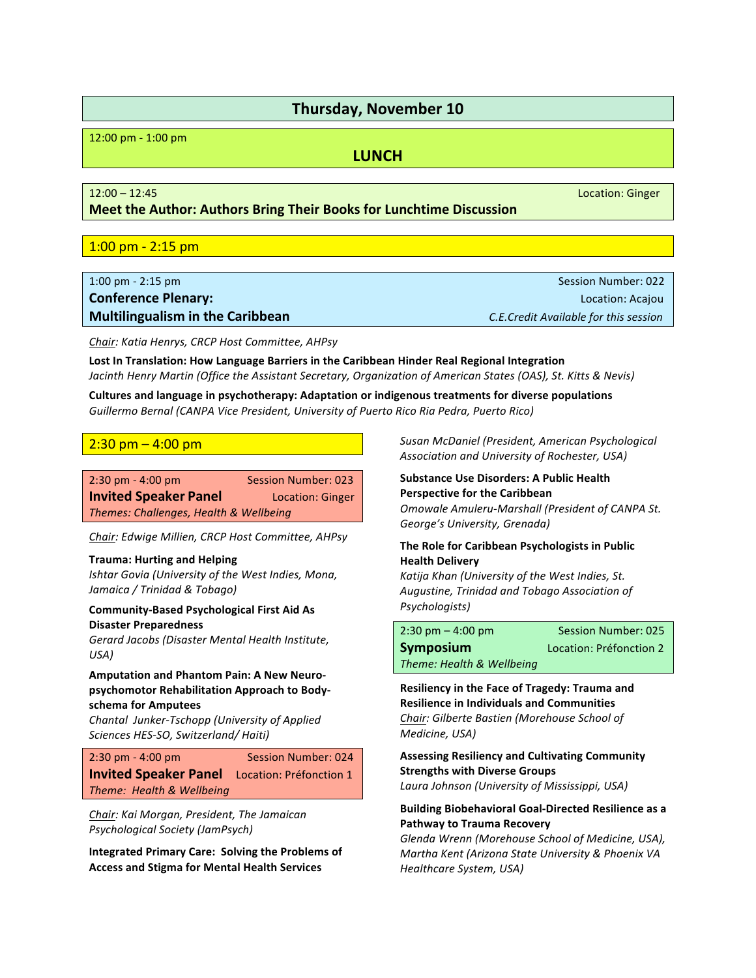12:00 pm - 1:00 pm

# **LUNCH**

**Meet the Author: Authors Bring Their Books for Lunchtime Discussion** 

# $1:00$  pm -  $2:15$  pm

| $1:00 \text{ pm} - 2:15 \text{ pm}$     | Session Number: 022                   |
|-----------------------------------------|---------------------------------------|
| <b>Conference Plenary:</b>              | Location: Acaiou                      |
| <b>Multilingualism in the Caribbean</b> | C.E.Credit Available for this session |

*Chair: Katia Henrys, CRCP Host Committee, AHPsy*

Lost In Translation: How Language Barriers in the Caribbean Hinder Real Regional Integration *Jacinth Henry Martin* (Office the Assistant Secretary, Organization of American States (OAS), St. Kitts & Nevis)

Cultures and language in psychotherapy: Adaptation or indigenous treatments for diverse populations Guillermo Bernal (CANPA Vice President, University of Puerto Rico Ria Pedra, Puerto Rico)

# $2:30$  pm  $-$  4:00 pm

| $2:30$ pm - 4:00 pm                    | <b>Session Number: 023</b> |
|----------------------------------------|----------------------------|
| <b>Invited Speaker Panel</b>           | Location: Ginger           |
| Themes: Challenges, Health & Wellbeing |                            |

*Chair: Edwige Millien, CRCP Host Committee, AHPsy*

#### **Trauma: Hurting and Helping**

*Ishtar Govia (University of the West Indies, Mona, Jamaica / Trinidad & Tobago)*

#### **Community-Based Psychological First Aid As Disaster Preparedness**

*Gerard Jacobs (Disaster Mental Health Institute,*  $USA$ )

# **Amputation and Phantom Pain: A New Neuro**psychomotor Rehabilitation Approach to Body**schema for Amputees**

*Chantal Junker-Tschopp (University of Applied*  Sciences HES-SO, Switzerland/ Haiti)

| $2:30$ pm - 4:00 pm                                  | <b>Session Number: 024</b> |
|------------------------------------------------------|----------------------------|
| <b>Invited Speaker Panel</b> Location: Préfonction 1 |                            |
| Theme: Health & Wellbeing                            |                            |

**Chair:** Kai Morgan, President, The Jamaican *Psychological Society (JamPsych)*

**Integrated Primary Care: Solving the Problems of Access and Stigma for Mental Health Services**

*Susan McDaniel (President, American Psychological Association and University of Rochester, USA)*

### **Substance Use Disorders: A Public Health Perspective for the Caribbean** *Omowale Amuleru-Marshall (President of CANPA St.* George's University, Grenada)

### **The Role for Caribbean Psychologists in Public Health Delivery**

*Katija Khan (University of the West Indies, St. Augustine, Trinidad and Tobago Association of Psychologists)*

| $2:30 \text{ pm} - 4:00 \text{ pm}$ | <b>Session Number: 025</b> |
|-------------------------------------|----------------------------|
| <b>Symposium</b>                    | Location: Préfonction 2    |
| Theme: Health & Wellbeing           |                            |

**Resiliency in the Face of Tragedy: Trauma and Resilience in Individuals and Communities** *Chair: Gilberte Bastien (Morehouse School of Medicine, USA)*

**Assessing Resiliency and Cultivating Community Strengths with Diverse Groups** *Laura Johnson (University of Mississippi, USA)*

#### **Building Biobehavioral Goal-Directed Resilience as a Pathway to Trauma Recovery**

*Glenda Wrenn (Morehouse School of Medicine, USA), Martha Kent (Arizona State University & Phoenix VA Healthcare System, USA)*

12:00 – 12:45 Location: Ginger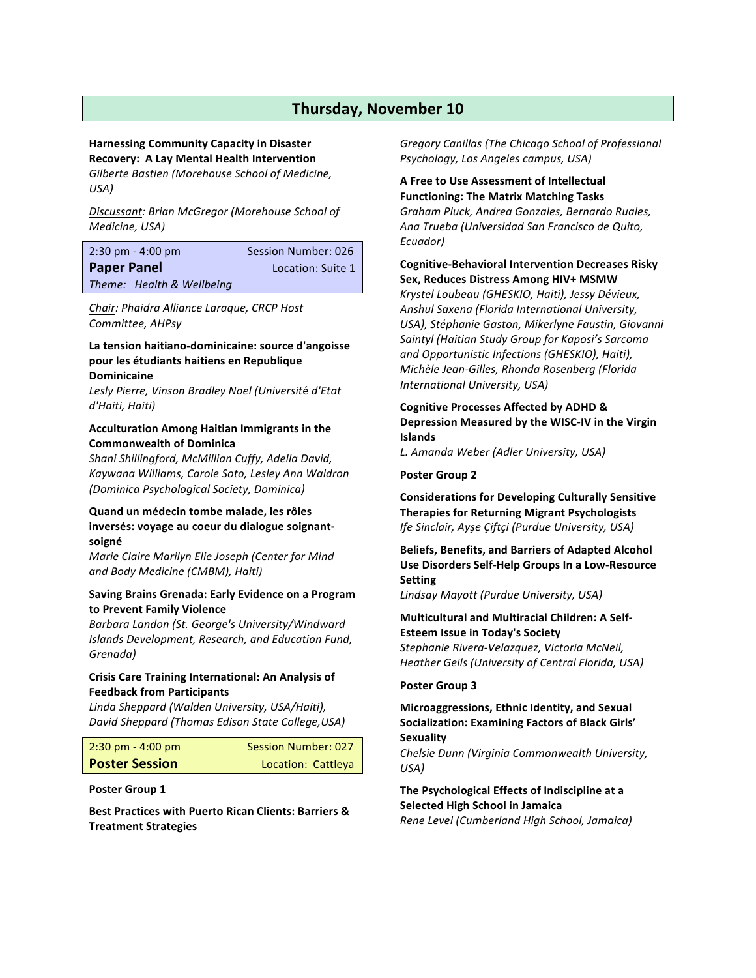# **Harnessing Community Capacity in Disaster Recovery: A Lay Mental Health Intervention**

*Gilberte Bastien (Morehouse School of Medicine, USA)*

*Discussant: Brian McGregor (Morehouse School of Medicine, USA)* 

| $2:30 \text{ pm} - 4:00 \text{ pm}$ | Session Number: 026 |
|-------------------------------------|---------------------|
| <b>Paper Panel</b>                  | Location: Suite 1   |
| Theme: Health & Wellbeing           |                     |

*Chair: Phaidra Alliance Laraque, CRCP Host Committee, AHPsy* 

#### **La tension haitiano-dominicaine: source d'angoisse** pour les étudiants haitiens en Republique **Dominicaine**

*Lesly Pierre, Vinson Bradley Noel (Universit*é *d'Etat d'Haiti, Haiti)*

#### **Acculturation Among Haitian Immigrants in the Commonwealth of Dominica**

*Shani Shillingford, McMillian Cuffy, Adella David, Kaywana Williams, Carole Soto, Lesley Ann Waldron (Dominica Psychological Society, Dominica)*

### **Quand un médecin tombe malade, les rôles** inversés: voyage au coeur du dialogue soignant**soigné**

*Marie Claire Marilyn Elie Joseph (Center for Mind and Body Medicine (CMBM), Haiti)*

#### **Saving Brains Grenada: Early Evidence on a Program to Prevent Family Violence**

*Barbara Landon (St. George's University/Windward Islands Development, Research, and Education Fund, Grenada)*

#### **Crisis Care Training International: An Analysis of Feedback from Participants**

*Linda Sheppard (Walden University, USA/Haiti), David Sheppard (Thomas Edison State College,USA)*

| $2:30 \text{ pm} - 4:00 \text{ pm}$ | Session Number: 027 |
|-------------------------------------|---------------------|
| <b>Poster Session</b>               | Location: Cattleya  |

#### **Poster Group 1**

**Best Practices with Puerto Rican Clients: Barriers & Treatment Strategies**

*Gregory Canillas (The Chicago School of Professional*  **Psychology, Los Angeles campus, USA)** 

**A Free to Use Assessment of Intellectual Functioning: The Matrix Matching Tasks** *Graham Pluck, Andrea Gonzales, Bernardo Ruales, Ana Trueba (Universidad San Francisco de Quito, Ecuador)*

### **Cognitive-Behavioral Intervention Decreases Risky Sex, Reduces Distress Among HIV+ MSMW**

*Krystel Loubeau (GHESKIO, Haiti), Jessy Dévieux, Anshul Saxena (Florida International University, USA), Stéphanie Gaston, Mikerlyne Faustin, Giovanni Saintyl (Haitian Study Group for Kaposi's Sarcoma and Opportunistic Infections (GHESKIO), Haiti), Michèle Jean-Gilles, Rhonda Rosenberg (Florida International University, USA)*

### **Cognitive Processes Affected by ADHD &** Depression Measured by the WISC-IV in the Virgin **Islands**

*L. Amanda Weber (Adler University, USA)* 

#### **Poster Group 2**

**Considerations for Developing Culturally Sensitive Therapies for Returning Migrant Psychologists** *Ife Sinclair, Ayşe Çiftçi (Purdue University, USA)*

**Beliefs, Benefits, and Barriers of Adapted Alcohol Use Disorders Self-Help Groups In a Low-Resource Setting**

*Lindsay Mayott (Purdue University, USA)*

# **Multicultural and Multiracial Children: A Self-Esteem Issue in Today's Society**

*Stephanie Rivera-Velazquez, Victoria McNeil, Heather Geils (University of Central Florida, USA)*

#### **Poster Group 3**

#### **Microaggressions, Ethnic Identity, and Sexual Socialization: Examining Factors of Black Girls' Sexuality**

*Chelsie Dunn (Virginia Commonwealth University, USA)*

**The Psychological Effects of Indiscipline at a Selected High School in Jamaica** *Rene Level (Cumberland High School, Jamaica)*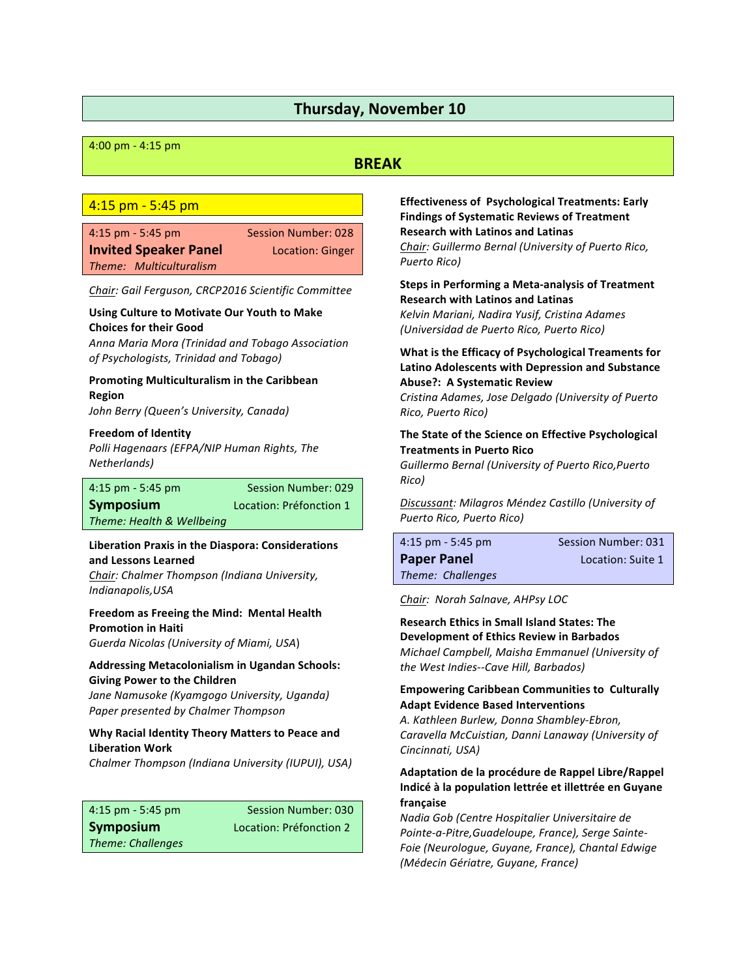#### 4:00 pm - 4:15 pm

# **BREAK**

#### $4:15$  pm  $-$  5:45 pm

4:15 pm - 5:45 pm Session Number: 028 **Invited Speaker Panel Location: Ginger** *Theme: Multiculturalism*

*Chair: Gail Ferguson, CRCP2016 Scientific Committee*

#### **Using Culture to Motivate Our Youth to Make Choices for their Good**

*Anna Maria Mora (Trinidad and Tobago Association of Psychologists, Trinidad and Tobago)*

#### **Promoting Multiculturalism in the Caribbean Region**

*John Berry (Queen's University, Canada)*

#### **Freedom of Identity**

*Polli Hagenaars (EFPA/NIP Human Rights, The Netherlands*)

**Symposium Location: Préfonction 1** 

4:15 pm - 5:45 pm Session Number: 029

*Theme: Health & Wellbeing* 

#### **Liberation Praxis in the Diaspora: Considerations and Lessons Learned**

*Chair: Chalmer Thompson (Indiana University, Indianapolis,USA*

#### **Freedom as Freeing the Mind: Mental Health Promotion in Haiti**

*Guerda Nicolas (University of Miami, USA*)

### **Addressing Metacolonialism in Ugandan Schools: Giving Power to the Children**

*Jane Namusoke (Kyamgogo University, Uganda) Paper presented by Chalmer Thompson*

#### **Why Racial Identity Theory Matters to Peace and Liberation Work**

*Chalmer Thompson (Indiana University (IUPUI), USA)* 

4:15 pm - 5:45 pm Session Number: 030 **Symposium Location:** Préfonction 2 *Theme: Challenges*

**Effectiveness of Psychological Treatments: Early Findings of Systematic Reviews of Treatment Research with Latinos and Latinas** *Chair: Guillermo Bernal (University of Puerto Rico, Puerto Rico)*

# **Steps in Performing a Meta-analysis of Treatment Research with Latinos and Latinas**

*Kelvin Mariani, Nadira Yusif, Cristina Adames (Universidad de Puerto Rico, Puerto Rico)*

### **What is the Efficacy of Psychological Treaments for Latino Adolescents with Depression and Substance Abuse?: A Systematic Review**

*Cristina Adames, Jose Delgado (University of Puerto Rico, Puerto Rico)*

### The State of the Science on Effective Psychological **Treatments in Puerto Rico**

*Guillermo Bernal (University of Puerto Rico,Puerto Rico)*

*Discussant: Milagros Méndez Castillo (University of Puerto Rico, Puerto Rico)*

| Session Number: 031 |
|---------------------|
| Location: Suite 1   |
|                     |
|                     |

*Chair: Norah Salnave, AHPsy LOC*

**Research Ethics in Small Island States: The Development of Ethics Review in Barbados** *Michael Campbell, Maisha Emmanuel (University of the West Indies--Cave Hill, Barbados)*

#### **Empowering Caribbean Communities to Culturally Adapt Evidence Based Interventions**

*A. Kathleen Burlew, Donna Shambley-Ebron, Caravella McCuistian, Danni Lanaway (University of Cincinnati, USA)*

### Adaptation de la procédure de Rappel Libre/Rappel Indicé à la population lettrée et illettrée en Guyane **française**

*Nadia Gob (Centre Hospitalier Universitaire de Pointe-a-Pitre,Guadeloupe, France), Serge Sainte-Foie (Neurologue, Guyane, France), Chantal Edwige (Médecin Gériatre, Guyane, France)*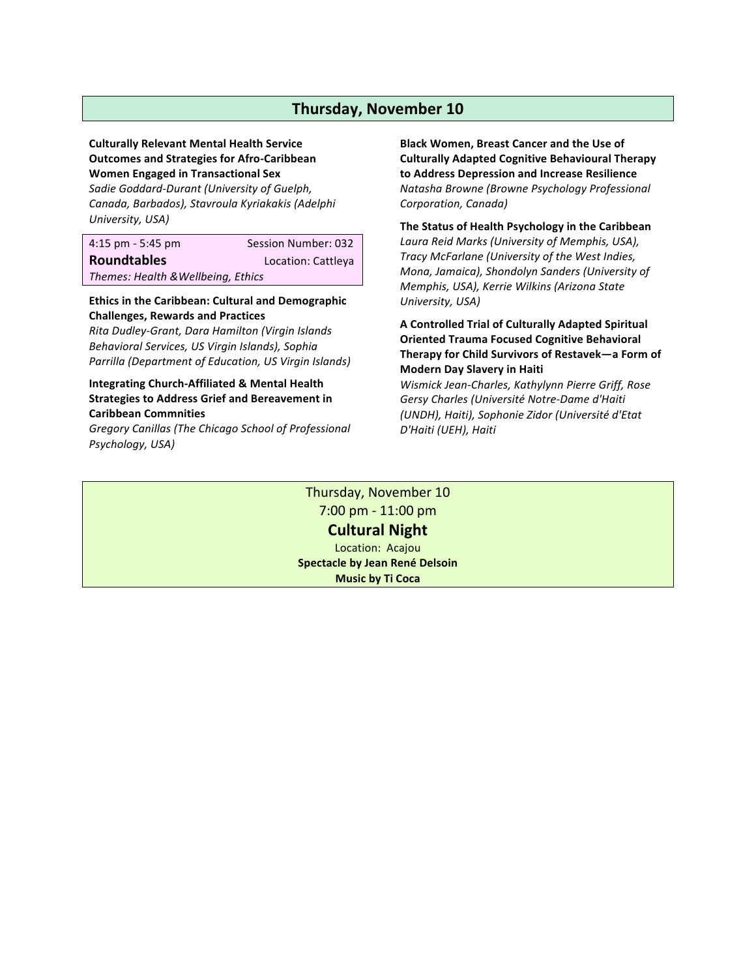# **Culturally Relevant Mental Health Service Outcomes and Strategies for Afro-Caribbean Women Engaged in Transactional Sex**

*Sadie Goddard-Durant (University of Guelph, Canada, Barbados), Stavroula Kyriakakis (Adelphi University, USA)*

4:15 pm - 5:45 pm Session Number: 032

**Roundtables Location: Cattleya** 

*Themes: Health &Wellbeing, Ethics*

**Ethics in the Caribbean: Cultural and Demographic Challenges, Rewards and Practices**

*Rita Dudley-Grant, Dara Hamilton (Virgin Islands Behavioral Services, US Virgin Islands), Sophia Parrilla (Department of Education, US Virgin Islands)*

# **Integrating Church-Affiliated & Mental Health Strategies to Address Grief and Bereavement in Caribbean Commnities**

*Gregory Canillas (The Chicago School of Professional Psychology, USA)*

**Black Women, Breast Cancer and the Use of Culturally Adapted Cognitive Behavioural Therapy to Address Depression and Increase Resilience** *Natasha Browne (Browne Psychology Professional Corporation, Canada)*

The Status of Health Psychology in the Caribbean *Laura Reid Marks (University of Memphis, USA), Tracy McFarlane (University of the West Indies, Mona, Jamaica), Shondolyn Sanders (University of Memphis, USA), Kerrie Wilkins (Arizona State*  University, USA)

# **A Controlled Trial of Culturally Adapted Spiritual Oriented Trauma Focused Cognitive Behavioral** Therapy for Child Survivors of Restavek—a Form of **Modern Day Slavery in Haiti**

*Wismick Jean-Charles, Kathylynn Pierre Griff, Rose Gersy Charles (Université Notre-Dame d'Haiti (UNDH), Haiti), Sophonie Zidor (Université d'Etat D'Haiti (UEH), Haiti*

Thursday, November 10 7:00 pm - 11:00 pm **Cultural Night** Location: Acajou **Spectacle by Jean René Delsoin Music by Ti Coca**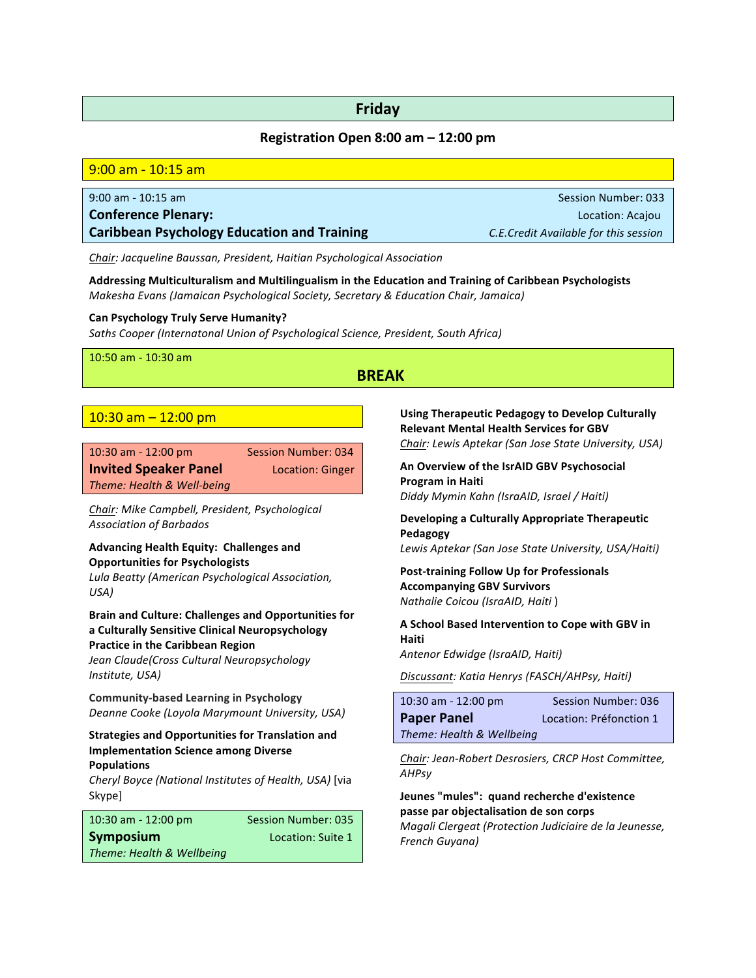# **Friday**

# **Registration Open 8:00 am – 12:00 pm**

| 9:00 am - 10:15 am                                 |                                       |
|----------------------------------------------------|---------------------------------------|
|                                                    |                                       |
| $9:00$ am - 10:15 am                               | <b>Session Number: 033</b>            |
| <b>Conference Plenary:</b>                         | Location: Acajou                      |
| <b>Caribbean Psychology Education and Training</b> | C.E.Credit Available for this session |
|                                                    |                                       |

**Chair:** Jacqueline Baussan, President, Haitian Psychological Association

Addressing Multiculturalism and Multilingualism in the Education and Training of Caribbean Psychologists *Makesha Evans (Jamaican Psychological Society, Secretary & Education Chair, Jamaica)*

#### **Can Psychology Truly Serve Humanity?**

*Saths Cooper (Internatonal Union of Psychological Science, President, South Africa)*

10:50 am - 10:30 am

# **BREAK**

# $10:30$  am  $- 12:00$  pm

| $10:30$ am - $12:00$ pm      | <b>Session Number: 034</b> |
|------------------------------|----------------------------|
| <b>Invited Speaker Panel</b> | Location: Ginger           |
| Theme: Health & Well-being   |                            |

Chair: Mike Campbell, President, Psychological *Association of Barbados* 

# Advancing Health Equity: Challenges and **Opportunities for Psychologists**

*Lula Beatty (American Psychological Association, USA)* 

# **Brain and Culture: Challenges and Opportunities for a Culturally Sensitive Clinical Neuropsychology Practice in the Caribbean Region**

*Jean Claude(Cross Cultural Neuropsychology Institute, USA)* 

**Community-based Learning in Psychology** *Deanne Cooke (Loyola Marymount University, USA)*

### **Strategies and Opportunities for Translation and Implementation Science among Diverse Populations**

*Cheryl Boyce (National Institutes of Health, USA)* [via Skype]

| $10:30$ am - $12:00$ pm   | <b>Session Number: 035</b> |
|---------------------------|----------------------------|
| Symposium                 | Location: Suite 1          |
| Theme: Health & Wellbeing |                            |

**Using Therapeutic Pedagogy to Develop Culturally Relevant Mental Health Services for GBV** *Chair: Lewis Aptekar (San Jose State University, USA)*

An Overview of the IsrAID GBV Psychosocial **Program in Haiti** *Diddy Mymin Kahn (IsraAID, Israel / Haiti)*

# **Developing a Culturally Appropriate Therapeutic Pedagogy**

*Lewis Aptekar (San Jose State University, USA/Haiti)*

**Post-training Follow Up for Professionals Accompanying GBV Survivors** *Nathalie Coicou (IsraAID, Haiti* )

**A School Based Intervention to Cope with GBV in Haiti**

*Antenor Edwidge (IsraAID, Haiti)*

**Discussant: Katia Henrys (FASCH/AHPsy, Haiti)** 

| $10:30$ am - $12:00$ pm   | Session Number: 036     |
|---------------------------|-------------------------|
| <b>Paper Panel</b>        | Location: Préfonction 1 |
| Theme: Health & Wellbeing |                         |

*Chair: Jean-Robert Desrosiers, CRCP Host Committee, AHPsy* 

**Jeunes "mules": quand recherche d'existence passe par objectalisation de son corps** *Magali Clergeat (Protection Judiciaire de la Jeunesse, French Guyana)*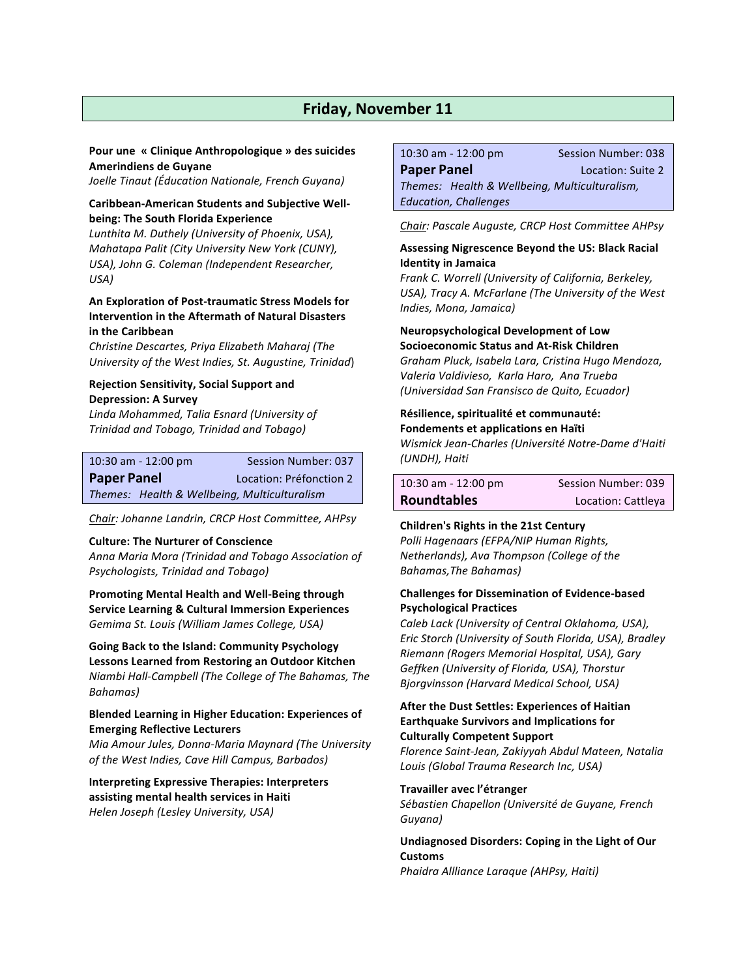# **Friday, November 11**

#### **Pour une « Clinique Anthropologique » des suicides Amerindiens de Guyane**

*Joelle Tinaut (Éducation Nationale, French Guyana)*

#### **Caribbean-American Students and Subjective Wellbeing: The South Florida Experience**

*Lunthita M. Duthely (University of Phoenix, USA), Mahatapa Palit (City University New York (CUNY), USA), John G. Coleman (Independent Researcher, USA)*

#### **An Exploration of Post-traumatic Stress Models for Intervention in the Aftermath of Natural Disasters in the Caribbean**

*Christine Descartes, Priya Elizabeth Maharaj (The University of the West Indies, St. Augustine, Trinidad*)

### **Rejection Sensitivity, Social Support and Depression: A Survey**

*Linda Mohammed, Talia Esnard (University of Trinidad and Tobago, Trinidad and Tobago)* 

|                    | $10:30$ am - $12:00$ pm | Session Number: 037                          |
|--------------------|-------------------------|----------------------------------------------|
| <b>Paper Panel</b> |                         | Location: Préfonction 2                      |
|                    |                         | Themes: Health & Wellbeing, Multiculturalism |

*Chair: Johanne Landrin, CRCP Host Committee, AHPsy* 

#### **Culture: The Nurturer of Conscience**

*Anna Maria Mora (Trinidad and Tobago Association of*  **Psychologists, Trinidad and Tobago)** 

**Promoting Mental Health and Well-Being through Service Learning & Cultural Immersion Experiences** *Gemima St. Louis (William James College, USA)*

**Going Back to the Island: Community Psychology** Lessons Learned from Restoring an Outdoor Kitchen *Niambi Hall-Campbell (The College of The Bahamas, The Bahamas)*

#### **Blended Learning in Higher Education: Experiences of Emerging Reflective Lecturers**

*Mia Amour Jules, Donna-Maria Maynard (The University of the West Indies, Cave Hill Campus, Barbados)*

**Interpreting Expressive Therapies: Interpreters assisting mental health services in Haiti** *Helen Joseph (Lesley University, USA)* 

10:30 am - 12:00 pm Session Number: 038

**Paper Panel Consumer Panel Paper Panel Paper Panel** *Themes: Health & Wellbeing, Multiculturalism, Education, Challenges*

*Chair: Pascale Auguste, CRCP Host Committee AHPsy* 

#### Assessing Nigrescence Beyond the US: Black Racial **Identity in Jamaica**

*Frank C. Worrell (University of California, Berkeley, USA), Tracy A. McFarlane (The University of the West Indies, Mona, Jamaica)*

#### **Neuropsychological Development of Low Socioeconomic Status and At-Risk Children**

*Graham Pluck, Isabela Lara, Cristina Hugo Mendoza, Valeria Valdivieso, Karla Haro, Ana Trueba (Universidad San Fransisco de Quito, Ecuador)*

# **Résilience, spiritualité et communauté:**

# **Fondements et applications en Haïti**

*Wismick Jean-Charles (Université Notre-Dame d'Haiti (UNDH), Haiti*

| $10:30$ am - $12:00$ pm | Session Number: 039 |
|-------------------------|---------------------|
| <b>Roundtables</b>      | Location: Cattleya  |

# **Children's Rights in the 21st Century**

*Polli Hagenaars (EFPA/NIP Human Rights, Netherlands), Ava Thompson (College of the*  Bahamas, The Bahamas)

#### **Challenges for Dissemination of Evidence-based Psychological Practices**

*Caleb Lack (University of Central Oklahoma, USA), Eric Storch (University of South Florida, USA), Bradley Riemann (Rogers Memorial Hospital, USA), Gary Geffken (University of Florida, USA), Thorstur Bjorgvinsson (Harvard Medical School, USA)*

#### **After the Dust Settles: Experiences of Haitian Earthquake Survivors and Implications for Culturally Competent Support**

*Florence Saint-Jean, Zakiyyah Abdul Mateen, Natalia Louis (Global Trauma Research Inc, USA)*

#### **Travailler avec l'étranger**

*Sébastien Chapellon (Université de Guyane, French Guyana)*

### **Undiagnosed Disorders: Coping in the Light of Our Customs**

*Phaidra Allliance Laraque (AHPsy, Haiti)*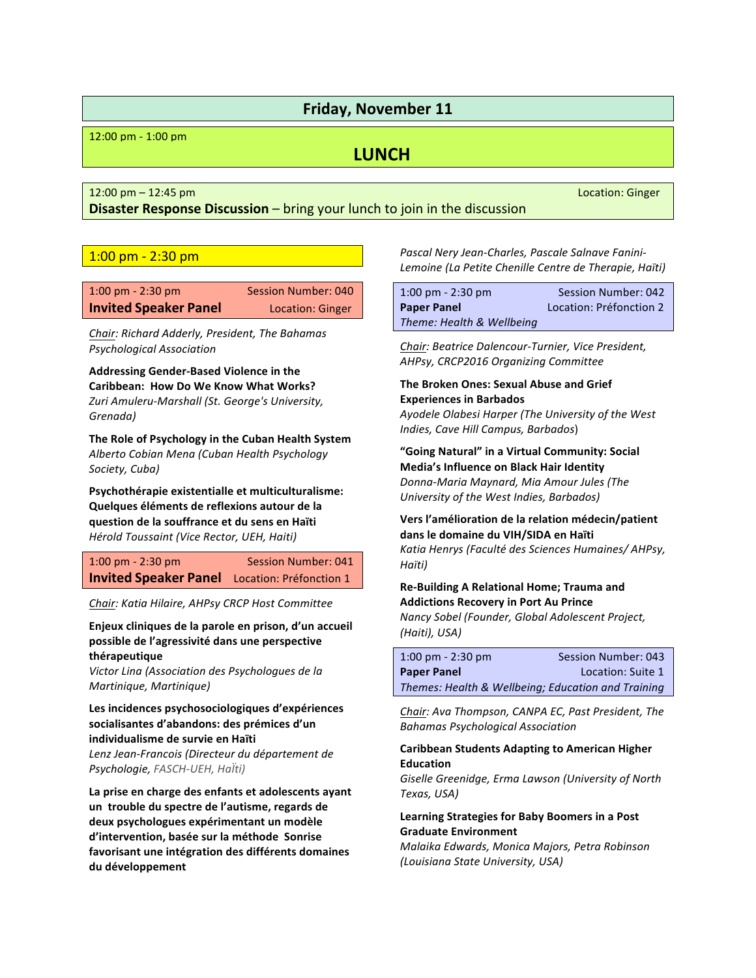# **Friday, November 11**

12:00 pm - 1:00 pm

# **LUNCH**

12:00 pm – 12:45 pm Location: Ginger Location: Ginger Location: Ginger Location: Ginger Location: Ginger Location: Company Location: Ginger Location: Ginger Location: Ginger Location: Ginger Location: Ginger Location: Ging

**Disaster Response Discussion** – bring your lunch to join in the discussion

# $1:00$  pm -  $2:30$  pm

| $1:00 \text{ pm} - 2:30 \text{ pm}$ | <b>Session Number: 040</b> |
|-------------------------------------|----------------------------|
| <b>Invited Speaker Panel</b>        | Location: Ginger           |

*Chair: Richard Adderly, President, The Bahamas Psychological Association*

Addressing Gender-Based Violence in the **Caribbean: How Do We Know What Works?** *Zuri Amuleru-Marshall (St. George's University, Grenada*)

The Role of Psychology in the Cuban Health System *Alberto Cobian Mena (Cuban Health Psychology Society, Cuba)*

**Psychothérapie existentialle et multiculturalisme: Quelques éléments de reflexions autour de la question de la souffrance et du sens en Haïti** *Hérold Toussaint (Vice Rector, UEH, Haiti)* 

1:00 pm - 2:30 pm Session Number: 041 **Invited Speaker Panel** Location: Préfonction 1

**Chair:** Katia Hilaire, AHPsy CRCP Host Committee

Enjeux cliniques de la parole en prison, d'un accueil possible de l'agressivité dans une perspective **thérapeutique**

*Victor Lina (Association des Psychologues de la Martinique, Martinique)* 

Les incidences psychosociologiques d'expériences socialisantes d'abandons: des prémices d'un **individualisme de survie en Haïti** *Lenz Jean-Francois (Directeur du département de* **Psychologie, FASCH-UEH, HaÏti)** 

La prise en charge des enfants et adolescents ayant un trouble du spectre de l'autisme, regards de deux psychologues expérimentant un modèle **d'intervention, basée sur la méthode Sonrise**  favorisant une intégration des différents domaines **du développement**

Pascal Nery Jean-Charles, Pascale Salnave Fanini-Lemoine (La Petite Chenille Centre de Therapie, Haïti)

| $1:00 \text{ pm} - 2:30 \text{ pm}$ | Session Number: 042     |
|-------------------------------------|-------------------------|
| <b>Paper Panel</b>                  | Location: Préfonction 2 |
| Theme: Health & Wellbeing           |                         |

*Chair: Beatrice Dalencour-Turnier, Vice President, AHPsy, CRCP2016 Organizing Committee*

# **The Broken Ones: Sexual Abuse and Grief Experiences in Barbados**

*Ayodele Olabesi Harper (The University of the West Indies, Cave Hill Campus, Barbados*)

"Going Natural" in a Virtual Community: Social **Media's Influence on Black Hair Identity** *Donna-Maria Maynard, Mia Amour Jules (The University of the West Indies, Barbados)*

### Vers l'amélioration de la relation médecin/patient **dans le domaine du VIH/SIDA en Haïti** *Katia Henrys (Faculté des Sciences Humaines/ AHPsy, Haïti)*

# **Re-Building A Relational Home; Trauma and Addictions Recovery in Port Au Prince**

*Nancy Sobel (Founder, Global Adolescent Project, (Haiti), USA)*

| $1:00 \text{ pm} - 2:30 \text{ pm}$                | <b>Session Number: 043</b> |
|----------------------------------------------------|----------------------------|
| <b>Paper Panel</b>                                 | Location: Suite 1          |
| Themes: Health & Wellbeing; Education and Training |                            |

Chair: Ava Thompson, CANPA EC, Past President, The *Bahamas Psychological Association* 

# **Caribbean Students Adapting to American Higher Education**

*Giselle Greenidge, Erma Lawson (University of North Texas, USA)*

### Learning Strategies for Baby Boomers in a Post **Graduate Environment**

*Malaika Edwards, Monica Majors, Petra Robinson (Louisiana State University, USA)*